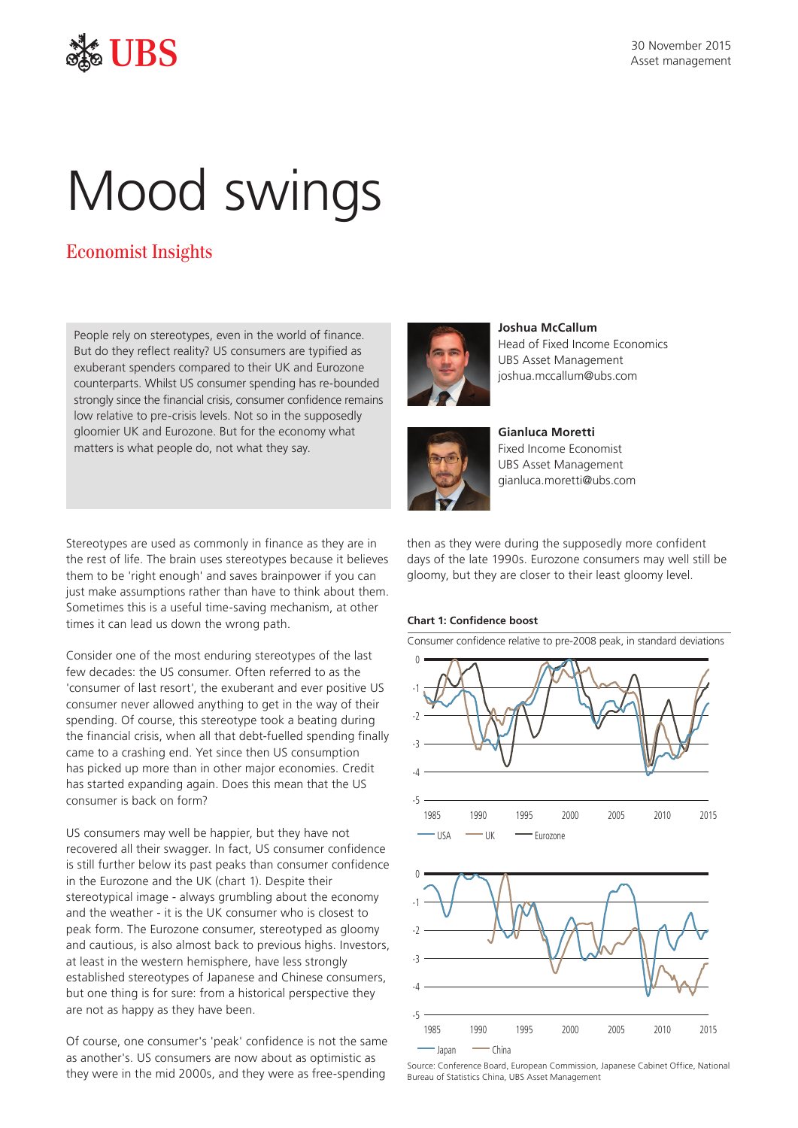

## Mood swings

## Economist Insights

People rely on stereotypes, even in the world of finance. But do they reflect reality? US consumers are typified as exuberant spenders compared to their UK and Eurozone counterparts. Whilst US consumer spending has re-bounded strongly since the financial crisis, consumer confidence remains low relative to pre-crisis levels. Not so in the supposedly gloomier UK and Eurozone. But for the economy what matters is what people do, not what they say.

Stereotypes are used as commonly in finance as they are in the rest of life. The brain uses stereotypes because it believes them to be 'right enough' and saves brainpower if you can just make assumptions rather than have to think about them. Sometimes this is a useful time-saving mechanism, at other times it can lead us down the wrong path.

Consider one of the most enduring stereotypes of the last few decades: the US consumer. Often referred to as the 'consumer of last resort', the exuberant and ever positive US consumer never allowed anything to get in the way of their spending. Of course, this stereotype took a beating during the financial crisis, when all that debt-fuelled spending finally came to a crashing end. Yet since then US consumption has picked up more than in other major economies. Credit has started expanding again. Does this mean that the US consumer is back on form?

US consumers may well be happier, but they have not recovered all their swagger. In fact, US consumer confidence is still further below its past peaks than consumer confidence in the Eurozone and the UK (chart 1). Despite their stereotypical image - always grumbling about the economy and the weather - it is the UK consumer who is closest to peak form. The Eurozone consumer, stereotyped as gloomy and cautious, is also almost back to previous highs. Investors, at least in the western hemisphere, have less strongly established stereotypes of Japanese and Chinese consumers, but one thing is for sure: from a historical perspective they are not as happy as they have been.

Of course, one consumer's 'peak' confidence is not the same as another's. US consumers are now about as optimistic as they were in the mid 2000s, and they were as free-spending



**Joshua McCallum** Head of Fixed Income Economics UBS Asset Management joshua.mccallum@ubs.com



**Gianluca Moretti**  Fixed Income Economist UBS Asset Management gianluca.moretti@ubs.com

then as they were during the supposedly more confident days of the late 1990s. Eurozone consumers may well still be gloomy, but they are closer to their least gloomy level.

## **Chart 1: Confidence boost**



Source: Conference Board, European Commission, Japanese Cabinet Office, National Bureau of Statistics China, UBS Asset Management